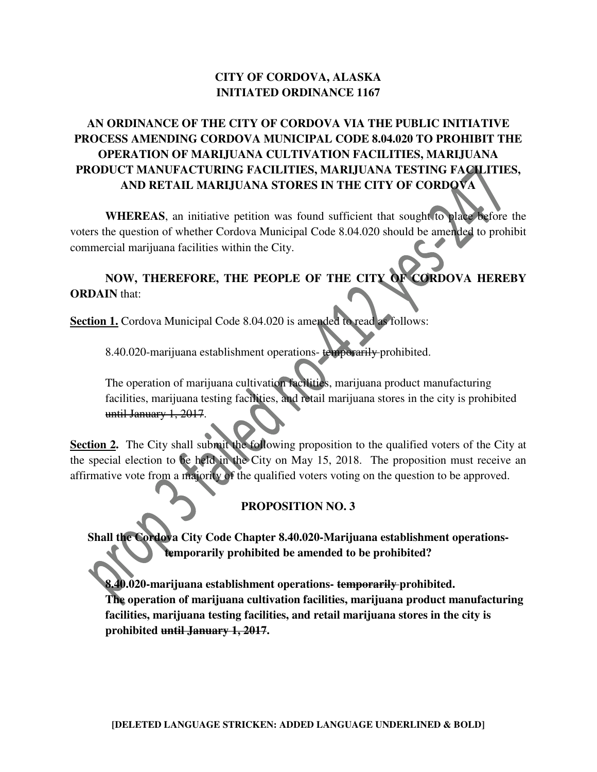## **CITY OF CORDOVA, ALASKA INITIATED ORDINANCE 1167**

## **AN ORDINANCE OF THE CITY OF CORDOVA VIA THE PUBLIC INITIATIVE PROCESS AMENDING CORDOVA MUNICIPAL CODE 8.04.020 TO PROHIBIT THE OPERATION OF MARIJUANA CULTIVATION FACILITIES, MARIJUANA PRODUCT MANUFACTURING FACILITIES, MARIJUANA TESTING FACILITIES, AND RETAIL MARIJUANA STORES IN THE CITY OF CORDOVA**

**WHEREAS**, an initiative petition was found sufficient that sought to place before the voters the question of whether Cordova Municipal Code 8.04.020 should be amended to prohibit commercial marijuana facilities within the City.

## **NOW, THEREFORE, THE PEOPLE OF THE CITY OF CORDOVA HEREBY ORDAIN** that:

**Section 1.** Cordova Municipal Code 8.04.020 is amended to read as follows:

8.40.020-marijuana establishment operations-temporarily-prohibited.

The operation of marijuana cultivation facilities, marijuana product manufacturing facilities, marijuana testing facilities, and retail marijuana stores in the city is prohibited until January 1, 2017.

**Section 2.** The City shall submit the following proposition to the qualified voters of the City at the special election to be held in the City on May 15, 2018. The proposition must receive an affirmative vote from a majority of the qualified voters voting on the question to be approved.

## **PROPOSITION NO. 3**

**Shall the Cordova City Code Chapter 8.40.020-Marijuana establishment operationstemporarily prohibited be amended to be prohibited?**

**8.40.020-marijuana establishment operations- temporarily prohibited. The operation of marijuana cultivation facilities, marijuana product manufacturing facilities, marijuana testing facilities, and retail marijuana stores in the city is prohibited until January 1, 2017.**